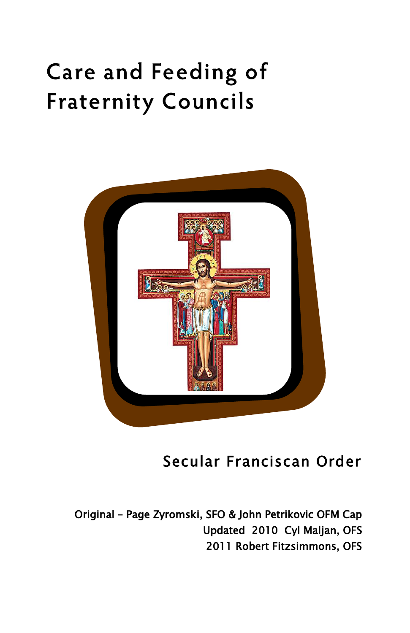# **Care and Feeding of Fraternity Councils**



# Secular Franciscan Order

Original – Page Zyromski, SFO & John Petrikovic OFM Cap Updated 2010 Cyl Maljan, OFS 2011 Robert Fitzsimmons, OFS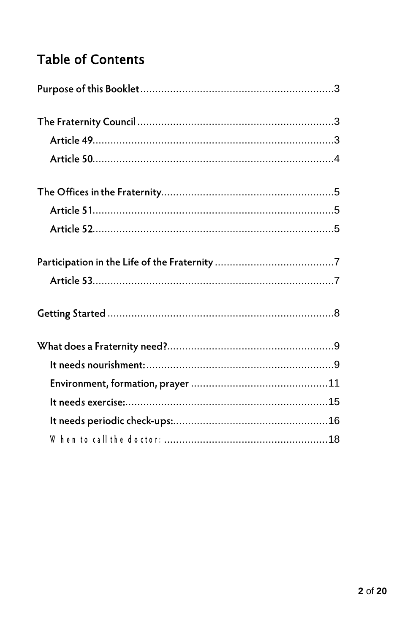# **Table of Contents**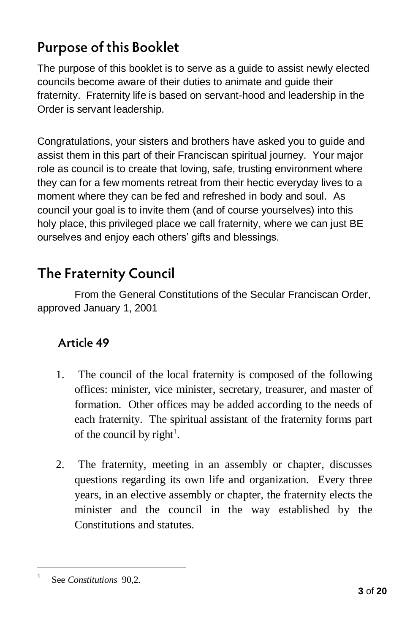## **Purpose of this Booklet**

The purpose of this booklet is to serve as a guide to assist newly elected councils become aware of their duties to animate and guide their fraternity. Fraternity life is based on servant-hood and leadership in the Order is servant leadership.

Congratulations, your sisters and brothers have asked you to guide and assist them in this part of their Franciscan spiritual journey. Your major role as council is to create that loving, safe, trusting environment where they can for a few moments retreat from their hectic everyday lives to a moment where they can be fed and refreshed in body and soul. As council your goal is to invite them (and of course yourselves) into this holy place, this privileged place we call fraternity, where we can just BE ourselves and enjoy each others' gifts and blessings.

## **The Fraternity Council**

From the General Constitutions of the Secular Franciscan Order, approved January 1, 2001

## Article 49

- 1. The council of the local fraternity is composed of the following offices: minister, vice minister, secretary, treasurer, and master of formation. Other offices may be added according to the needs of each fraternity. The spiritual assistant of the fraternity forms part of the council by right<sup>1</sup>.
- 2. The fraternity, meeting in an assembly or chapter, discusses questions regarding its own life and organization. Every three years, in an elective assembly or chapter, the fraternity elects the minister and the council in the way established by the Constitutions and statutes.

<sup>1</sup> See *Constitutions* 90,2.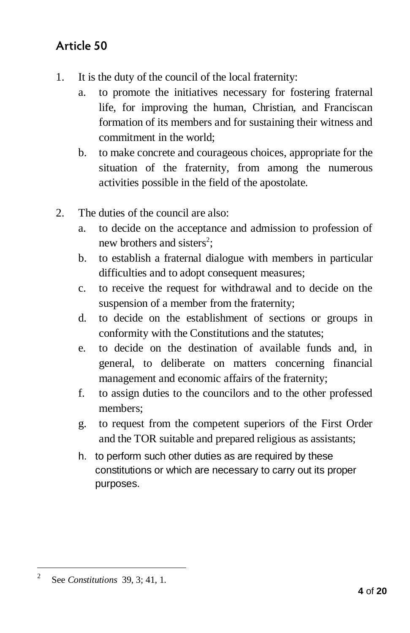## Article 50

- 1. It is the duty of the council of the local fraternity:
	- a. to promote the initiatives necessary for fostering fraternal life, for improving the human, Christian, and Franciscan formation of its members and for sustaining their witness and commitment in the world;
	- b. to make concrete and courageous choices, appropriate for the situation of the fraternity, from among the numerous activities possible in the field of the apostolate.
- 2. The duties of the council are also:
	- a. to decide on the acceptance and admission to profession of new brothers and sisters<sup>2</sup>;
	- b. to establish a fraternal dialogue with members in particular difficulties and to adopt consequent measures;
	- c. to receive the request for withdrawal and to decide on the suspension of a member from the fraternity;
	- d. to decide on the establishment of sections or groups in conformity with the Constitutions and the statutes;
	- e. to decide on the destination of available funds and, in general, to deliberate on matters concerning financial management and economic affairs of the fraternity;
	- f. to assign duties to the councilors and to the other professed members;
	- g. to request from the competent superiors of the First Order and the TOR suitable and prepared religious as assistants;
	- h. to perform such other duties as are required by these constitutions or which are necessary to carry out its proper purposes.

<sup>2</sup> See *Constitutions* 39, 3; 41, 1.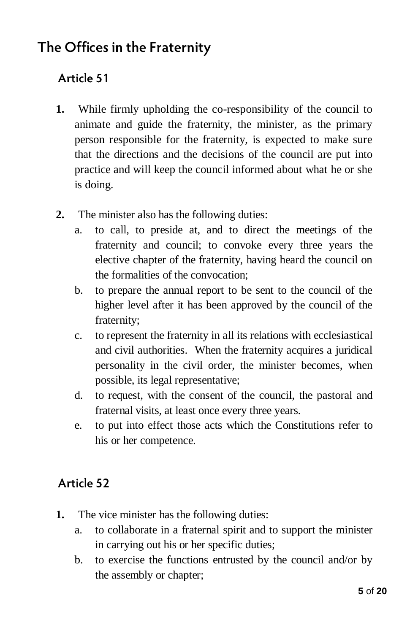## The Offices in the Fraternity

## Article 51

- **1.** While firmly upholding the co-responsibility of the council to animate and guide the fraternity, the minister, as the primary person responsible for the fraternity, is expected to make sure that the directions and the decisions of the council are put into practice and will keep the council informed about what he or she is doing.
- **2.** The minister also has the following duties:
	- a. to call, to preside at, and to direct the meetings of the fraternity and council; to convoke every three years the elective chapter of the fraternity, having heard the council on the formalities of the convocation;
	- b. to prepare the annual report to be sent to the council of the higher level after it has been approved by the council of the fraternity;
	- c. to represent the fraternity in all its relations with ecclesiastical and civil authorities. When the fraternity acquires a juridical personality in the civil order, the minister becomes, when possible, its legal representative;
	- d. to request, with the consent of the council, the pastoral and fraternal visits, at least once every three years.
	- e. to put into effect those acts which the Constitutions refer to his or her competence.

## Article 52

- **1.** The vice minister has the following duties:
	- a. to collaborate in a fraternal spirit and to support the minister in carrying out his or her specific duties;
	- b. to exercise the functions entrusted by the council and/or by the assembly or chapter;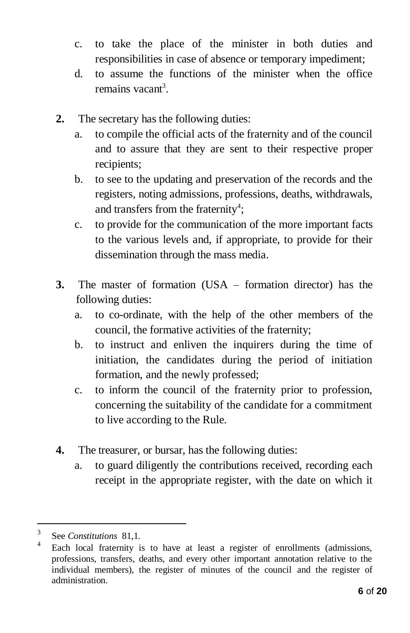- c. to take the place of the minister in both duties and responsibilities in case of absence or temporary impediment;
- d. to assume the functions of the minister when the office remains vacant<sup>3</sup>.
- **2.** The secretary has the following duties:
	- a. to compile the official acts of the fraternity and of the council and to assure that they are sent to their respective proper recipients;
	- b. to see to the updating and preservation of the records and the registers, noting admissions, professions, deaths, withdrawals, and transfers from the fraternity<sup>4</sup>;
	- c. to provide for the communication of the more important facts to the various levels and, if appropriate, to provide for their dissemination through the mass media.
- **3.** The master of formation (USA formation director) has the following duties:
	- a. to co-ordinate, with the help of the other members of the council, the formative activities of the fraternity;
	- b. to instruct and enliven the inquirers during the time of initiation, the candidates during the period of initiation formation, and the newly professed;
	- c. to inform the council of the fraternity prior to profession, concerning the suitability of the candidate for a commitment to live according to the Rule.
- **4.** The treasurer, or bursar, has the following duties:
	- a. to guard diligently the contributions received, recording each receipt in the appropriate register, with the date on which it

<sup>3</sup> See *Constitutions* 81,1.

<sup>4</sup> Each local fraternity is to have at least a register of enrollments (admissions, professions, transfers, deaths, and every other important annotation relative to the individual members), the register of minutes of the council and the register of administration.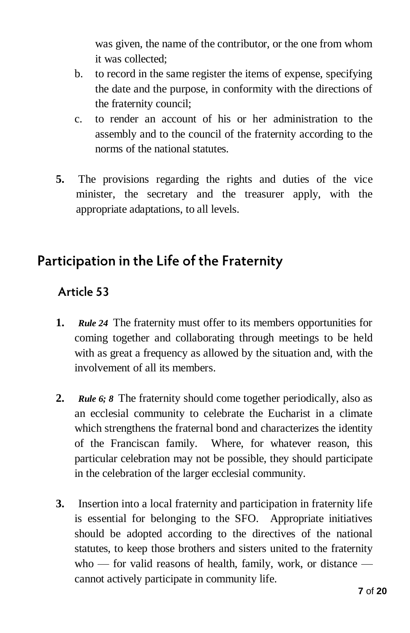was given, the name of the contributor, or the one from whom it was collected;

- b. to record in the same register the items of expense, specifying the date and the purpose, in conformity with the directions of the fraternity council;
- c. to render an account of his or her administration to the assembly and to the council of the fraternity according to the norms of the national statutes.
- **5.** The provisions regarding the rights and duties of the vice minister, the secretary and the treasurer apply, with the appropriate adaptations, to all levels.

## Participation in the Life of the Fraternity

#### Article 53

- **1.** *Rule 24* The fraternity must offer to its members opportunities for coming together and collaborating through meetings to be held with as great a frequency as allowed by the situation and, with the involvement of all its members.
- **2.** *Rule 6; 8* The fraternity should come together periodically, also as an ecclesial community to celebrate the Eucharist in a climate which strengthens the fraternal bond and characterizes the identity of the Franciscan family. Where, for whatever reason, this particular celebration may not be possible, they should participate in the celebration of the larger ecclesial community.
- **3.** Insertion into a local fraternity and participation in fraternity life is essential for belonging to the SFO. Appropriate initiatives should be adopted according to the directives of the national statutes, to keep those brothers and sisters united to the fraternity who — for valid reasons of health, family, work, or distance cannot actively participate in community life.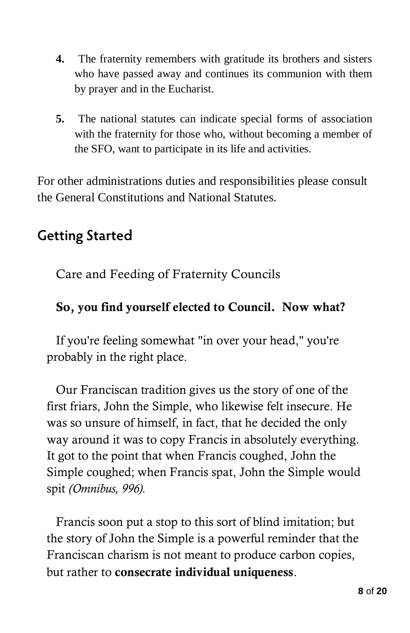- **4.** The fraternity remembers with gratitude its brothers and sisters who have passed away and continues its communion with them by prayer and in the Eucharist.
- **5.** The national statutes can indicate special forms of association with the fraternity for those who, without becoming a member of the SFO, want to participate in its life and activities.

For other administrations duties and responsibilities please consult the General Constitutions and National Statutes.

# **Getting Started**

Care and Feeding of Fraternity Councils

#### **So, you find yourself elected to Council. Now what?**

If you're feeling somewhat "in over your head," you're probably in the right place.

Our Franciscan tradition gives us the story of one of the first friars, John the Simple, who likewise felt insecure. He was so unsure of himself, in fact, that he decided the only way around it was to copy Francis in absolutely everything. It got to the point that when Francis coughed, John the Simple coughed; when Francis spat, John the Simple would spit *(Omnibus, 996).* 

Francis soon put a stop to this sort of blind imitation; but the story of John the Simple is a powerful reminder that the Franciscan charism is not meant to produce carbon copies, but rather to **consecrate individual uniqueness**.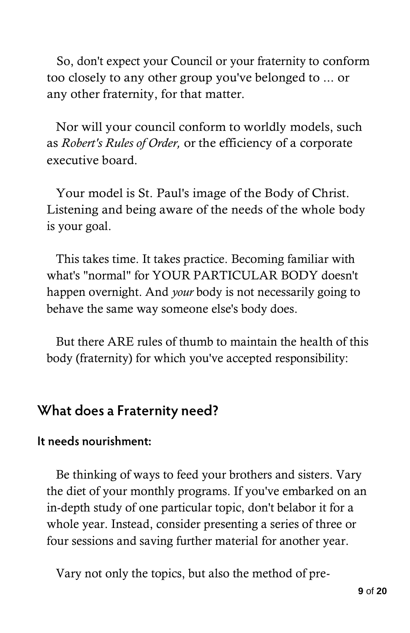So, don't expect your Council or your fraternity to conform too closely to any other group you've belonged to ... or any other fraternity, for that matter.

Nor will your council conform to worldly models, such as *Robert's Rules of Order,* or the efficiency of a corporate executive board.

Your model is St. Paul's image of the Body of Christ. Listening and being aware of the needs of the whole body is your goal.

This takes time. It takes practice. Becoming familiar with what's "normal" for YOUR PARTICULAR BODY doesn't happen overnight. And *your* body is not necessarily going to behave the same way someone else's body does.

But there ARE rules of thumb to maintain the health of this body (fraternity) for which you've accepted responsibility:

## What does a Fraternity need?

#### It needs nourishment:

Be thinking of ways to feed your brothers and sisters. Vary the diet of your monthly programs. If you've embarked on an in-depth study of one particular topic, don't belabor it for a whole year. Instead, consider presenting a series of three or four sessions and saving further material for another year.

Vary not only the topics, but also the method of pre-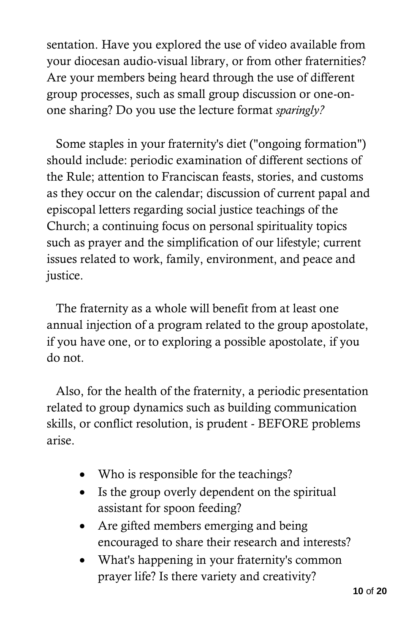sentation. Have you explored the use of video available from your diocesan audio-visual library, or from other fraternities? Are your members being heard through the use of different group processes, such as small group discussion or one-onone sharing? Do you use the lecture format *sparingly?* 

Some staples in your fraternity's diet ("ongoing formation") should include: periodic examination of different sections of the Rule; attention to Franciscan feasts, stories, and customs as they occur on the calendar; discussion of current papal and episcopal letters regarding social justice teachings of the Church; a continuing focus on personal spirituality topics such as prayer and the simplification of our lifestyle; current issues related to work, family, environment, and peace and justice.

The fraternity as a whole will benefit from at least one annual injection of a program related to the group apostolate, if you have one, or to exploring a possible apostolate, if you do not.

Also, for the health of the fraternity, a periodic presentation related to group dynamics such as building communication skills, or conflict resolution, is prudent - BEFORE problems arise.

- Who is responsible for the teachings?
- Is the group overly dependent on the spiritual assistant for spoon feeding?
- Are gifted members emerging and being encouraged to share their research and interests?
- What's happening in your fraternity's common prayer life? Is there variety and creativity?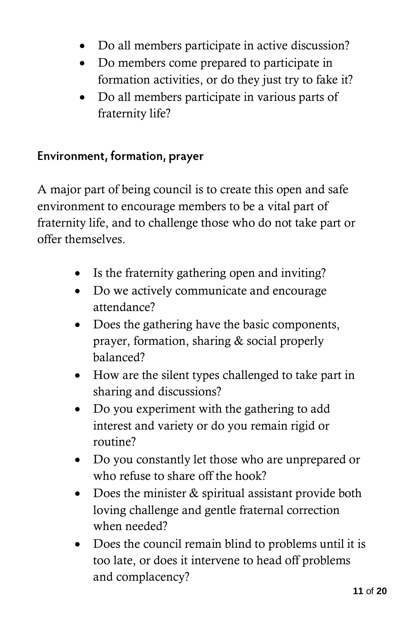- Do all members participate in active discussion?
- Do members come prepared to participate in formation activities, or do they just try to fake it?
- Do all members participate in various parts of fraternity life?

#### Environment, formation, prayer

A major part of being council is to create this open and safe environment to encourage members to be a vital part of fraternity life, and to challenge those who do not take part or offer themselves.

- Is the fraternity gathering open and inviting?
- Do we actively communicate and encourage attendance?
- Does the gathering have the basic components, prayer, formation, sharing & social properly balanced?
- How are the silent types challenged to take part in sharing and discussions?
- Do you experiment with the gathering to add interest and variety or do you remain rigid or routine?
- Do you constantly let those who are unprepared or who refuse to share off the hook?
- Does the minister & spiritual assistant provide both loving challenge and gentle fraternal correction when needed?
- Does the council remain blind to problems until it is too late, or does it intervene to head off problems and complacency?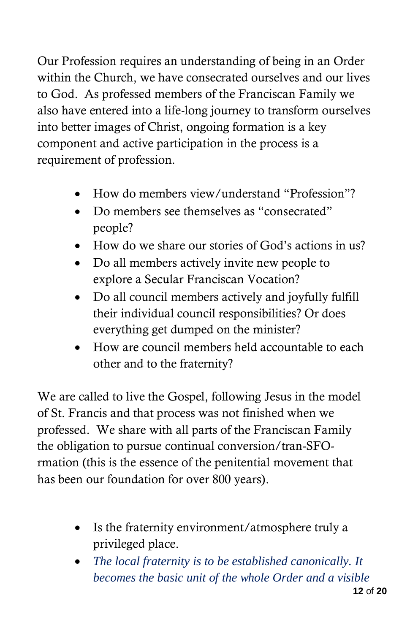Our Profession requires an understanding of being in an Order within the Church, we have consecrated ourselves and our lives to God. As professed members of the Franciscan Family we also have entered into a life-long journey to transform ourselves into better images of Christ, ongoing formation is a key component and active participation in the process is a requirement of profession.

- How do members view/understand "Profession"?
- Do members see themselves as "consecrated" people?
- How do we share our stories of God's actions in us?
- Do all members actively invite new people to explore a Secular Franciscan Vocation?
- Do all council members actively and joyfully fulfill their individual council responsibilities? Or does everything get dumped on the minister?
- How are council members held accountable to each other and to the fraternity?

We are called to live the Gospel, following Jesus in the model of St. Francis and that process was not finished when we professed. We share with all parts of the Franciscan Family the obligation to pursue continual conversion/tran-SFOrmation (this is the essence of the penitential movement that has been our foundation for over 800 years).

- Is the fraternity environment/atmosphere truly a privileged place.
- *The local fraternity is to be established canonically. It becomes the basic unit of the whole Order and a visible*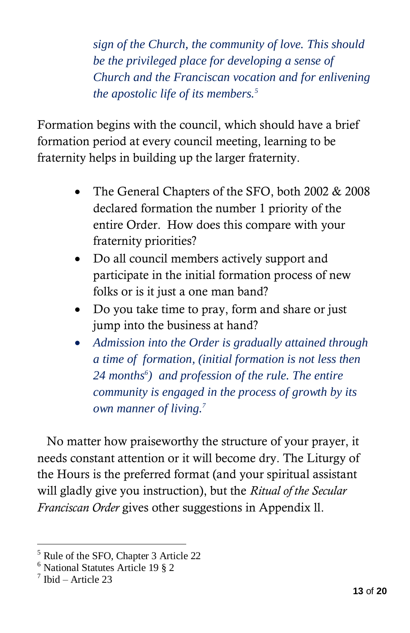*sign of the Church, the community of love. This should be the privileged place for developing a sense of Church and the Franciscan vocation and for enlivening the apostolic life of its members.<sup>5</sup>*

Formation begins with the council, which should have a brief formation period at every council meeting, learning to be fraternity helps in building up the larger fraternity.

- The General Chapters of the SFO, both 2002 & 2008 declared formation the number 1 priority of the entire Order. How does this compare with your fraternity priorities?
- Do all council members actively support and participate in the initial formation process of new folks or is it just a one man band?
- Do you take time to pray, form and share or just jump into the business at hand?
- *Admission into the Order is gradually attained through a time of formation, (initial formation is not less then 24 months<sup>6</sup> ) and profession of the rule. The entire community is engaged in the process of growth by its own manner of living.<sup>7</sup>*

No matter how praiseworthy the structure of your prayer, it needs constant attention or it will become dry. The Liturgy of the Hours is the preferred format (and your spiritual assistant will gladly give you instruction), but the *Ritual of the Secular Franciscan Order* gives other suggestions in Appendix ll.

<sup>5</sup> Rule of the SFO, Chapter 3 Article 22

<sup>6</sup> National Statutes Article 19 § 2

<sup>7</sup> Ibid – Article 23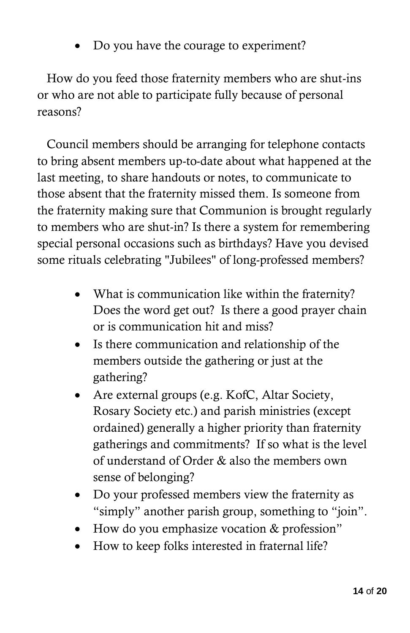Do you have the courage to experiment?

How do you feed those fraternity members who are shut-ins or who are not able to participate fully because of personal reasons?

Council members should be arranging for telephone contacts to bring absent members up-to-date about what happened at the last meeting, to share handouts or notes, to communicate to those absent that the fraternity missed them. Is someone from the fraternity making sure that Communion is brought regularly to members who are shut-in? Is there a system for remembering special personal occasions such as birthdays? Have you devised some rituals celebrating "Jubilees" of long-professed members?

- What is communication like within the fraternity? Does the word get out? Is there a good prayer chain or is communication hit and miss?
- Is there communication and relationship of the members outside the gathering or just at the gathering?
- Are external groups (e.g. KofC, Altar Society, Rosary Society etc.) and parish ministries (except ordained) generally a higher priority than fraternity gatherings and commitments? If so what is the level of understand of Order & also the members own sense of belonging?
- Do your professed members view the fraternity as "simply" another parish group, something to "join".
- How do you emphasize vocation & profession"
- How to keep folks interested in fraternal life?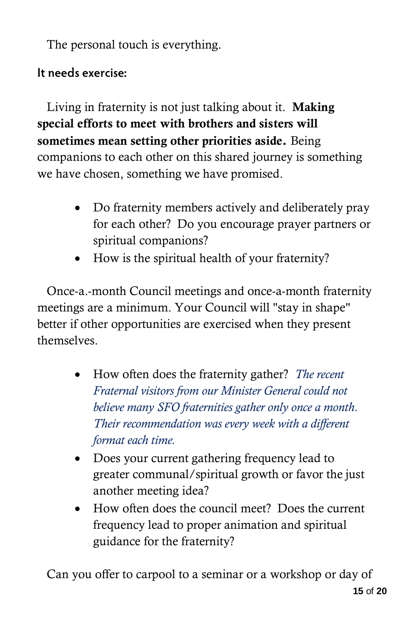The personal touch is everything.

## It needs exercise:

Living in fraternity is not just talking about it. **Making special efforts to meet with brothers and sisters will sometimes mean setting other priorities aside.** Being companions to each other on this shared journey is something we have chosen, something we have promised.

- Do fraternity members actively and deliberately pray for each other? Do you encourage prayer partners or spiritual companions?
- How is the spiritual health of your fraternity?

Once-a.-month Council meetings and once-a-month fraternity meetings are a minimum. Your Council will "stay in shape" better if other opportunities are exercised when they present themselves.

- How often does the fraternity gather? *The recent Fraternal visitors from our Minister General could not believe many SFO fraternities gather only once a month. Their recommendation was every week with a different format each time.*
- Does your current gathering frequency lead to greater communal/spiritual growth or favor the just another meeting idea?
- How often does the council meet? Does the current frequency lead to proper animation and spiritual guidance for the fraternity?

Can you offer to carpool to a seminar or a workshop or day of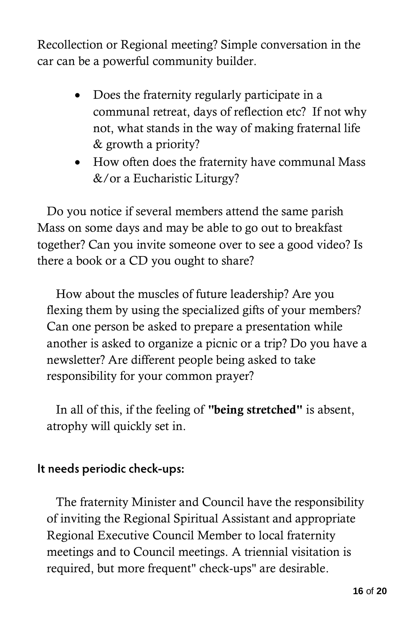Recollection or Regional meeting? Simple conversation in the car can be a powerful community builder.

- Does the fraternity regularly participate in a communal retreat, days of reflection etc? If not why not, what stands in the way of making fraternal life & growth a priority?
- How often does the fraternity have communal Mass &/or a Eucharistic Liturgy?

Do you notice if several members attend the same parish Mass on some days and may be able to go out to breakfast together? Can you invite someone over to see a good video? Is there a book or a CD you ought to share?

How about the muscles of future leadership? Are you flexing them by using the specialized gifts of your members? Can one person be asked to prepare a presentation while another is asked to organize a picnic or a trip? Do you have a newsletter? Are different people being asked to take responsibility for your common prayer?

In all of this, if the feeling of **"being stretched"** is absent, atrophy will quickly set in.

#### It needs periodic check-ups:

The fraternity Minister and Council have the responsibility of inviting the Regional Spiritual Assistant and appropriate Regional Executive Council Member to local fraternity meetings and to Council meetings. A triennial visitation is required, but more frequent" check-ups" are desirable.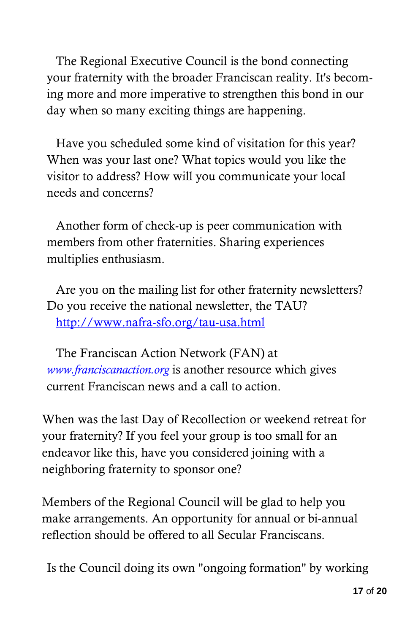The Regional Executive Council is the bond connecting your fraternity with the broader Franciscan reality. It's becoming more and more imperative to strengthen this bond in our day when so many exciting things are happening.

Have you scheduled some kind of visitation for this year? When was your last one? What topics would you like the visitor to address? How will you communicate your local needs and concerns?

Another form of check-up is peer communication with members from other fraternities. Sharing experiences multiplies enthusiasm.

Are you on the mailing list for other fraternity newsletters? Do you receive the national newsletter, the TAU? <http://www.nafra-sfo.org/tau-usa.html>

The Franciscan Action Network (FAN) at *[www.franciscanaction.org](http://www.franciscanaction.org/)* is another resource which gives current Franciscan news and a call to action.

When was the last Day of Recollection or weekend retreat for your fraternity? If you feel your group is too small for an endeavor like this, have you considered joining with a neighboring fraternity to sponsor one?

Members of the Regional Council will be glad to help you make arrangements. An opportunity for annual or bi-annual reflection should be offered to all Secular Franciscans.

Is the Council doing its own "ongoing formation" by working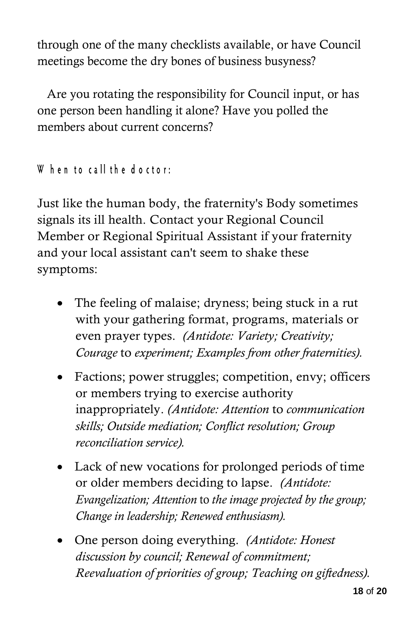through one of the many checklists available, or have Council meetings become the dry bones of business busyness?

Are you rotating the responsibility for Council input, or has one person been handling it alone? Have you polled the members about current concerns?

When to call the doctor:

Just like the human body, the fraternity's Body sometimes signals its ill health. Contact your Regional Council Member or Regional Spiritual Assistant if your fraternity and your local assistant can't seem to shake these symptoms:

- The feeling of malaise; dryness; being stuck in a rut with your gathering format, programs, materials or even prayer types. *(Antidote: Variety; Creativity; Courage* to *experiment; Examples from other fraternities).*
- Factions; power struggles; competition, envy; officers or members trying to exercise authority inappropriately. *(Antidote: Attention* to *communication skills; Outside mediation; Conflict resolution; Group reconciliation service).*
- Lack of new vocations for prolonged periods of time or older members deciding to lapse. *(Antidote: Evangelization; Attention* to *the image projected by the group; Change in leadership; Renewed enthusiasm).*
- One person doing everything. *(Antidote: Honest discussion by council; Renewal of commitment; Reevaluation of priorities of group; Teaching on giftedness).*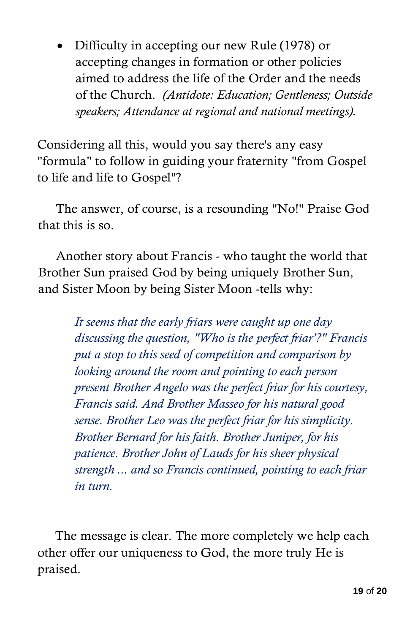• Difficulty in accepting our new Rule (1978) or accepting changes in formation or other policies aimed to address the life of the Order and the needs of the Church. *(Antidote: Education; Gentleness; Outside speakers; Attendance at regional and national meetings).*

Considering all this, would you say there's any easy "formula" to follow in guiding your fraternity "from Gospel to life and life to Gospel"?

The answer, of course, is a resounding "No!" Praise God that this is so.

Another story about Francis - who taught the world that Brother Sun praised God by being uniquely Brother Sun, and Sister Moon by being Sister Moon -tells why:

> *It seems that the early friars were caught up one day discussing the question, "Who is the perfect friar'?" Francis put a stop to this seed of competition and comparison by looking around the room and pointing to each person present Brother Angelo was the perfect friar for his courtesy, Francis said. And Brother Masseo for his natural good sense. Brother Leo was the perfect friar for his simplicity. Brother Bernard for his faith. Brother Juniper, for his patience. Brother John of Lauds for his sheer physical strength ... and so Francis continued, pointing to each friar in turn.*

The message is clear. The more completely we help each other offer our uniqueness to God, the more truly He is praised.